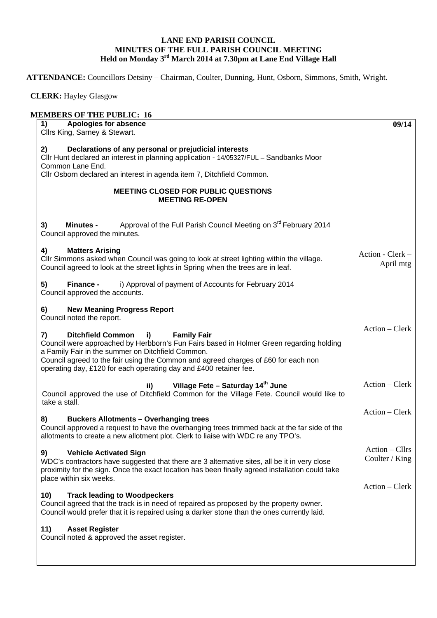## **LANE END PARISH COUNCIL MINUTES OF THE FULL PARISH COUNCIL MEETING Held on Monday 3rd March 2014 at 7.30pm at Lane End Village Hall**

**ATTENDANCE:** Councillors Detsiny – Chairman, Coulter, Dunning, Hunt, Osborn, Simmons, Smith, Wright.

 **CLERK:** Hayley Glasgow

| Apologies for absence<br>1)                                                                                                                                                                                                                                                                                                                                                     | 09/14                              |
|---------------------------------------------------------------------------------------------------------------------------------------------------------------------------------------------------------------------------------------------------------------------------------------------------------------------------------------------------------------------------------|------------------------------------|
| Cllrs King, Sarney & Stewart.                                                                                                                                                                                                                                                                                                                                                   |                                    |
| Declarations of any personal or prejudicial interests<br>2)<br>Cllr Hunt declared an interest in planning application - 14/05327/FUL - Sandbanks Moor<br>Common Lane End.                                                                                                                                                                                                       |                                    |
| Cllr Osborn declared an interest in agenda item 7, Ditchfield Common.                                                                                                                                                                                                                                                                                                           |                                    |
| <b>MEETING CLOSED FOR PUBLIC QUESTIONS</b><br><b>MEETING RE-OPEN</b>                                                                                                                                                                                                                                                                                                            |                                    |
| Approval of the Full Parish Council Meeting on 3 <sup>rd</sup> February 2014<br>3)<br><b>Minutes -</b><br>Council approved the minutes.                                                                                                                                                                                                                                         |                                    |
| <b>Matters Arising</b><br>4)<br>CIIr Simmons asked when Council was going to look at street lighting within the village.<br>Council agreed to look at the street lights in Spring when the trees are in leaf.                                                                                                                                                                   | Action - Clerk -<br>April mtg      |
| i) Approval of payment of Accounts for February 2014<br>Finance -<br>Council approved the accounts.                                                                                                                                                                                                                                                                             |                                    |
| <b>New Meaning Progress Report</b><br>Council noted the report.                                                                                                                                                                                                                                                                                                                 |                                    |
| <b>Ditchfield Common</b><br>$\mathbf{i}$<br><b>Family Fair</b><br>7)<br>Council were approached by Herbborn's Fun Fairs based in Holmer Green regarding holding<br>a Family Fair in the summer on Ditchfield Common.<br>Council agreed to the fair using the Common and agreed charges of £60 for each non<br>operating day, £120 for each operating day and £400 retainer fee. | $Action - Clark$                   |
| Village Fete - Saturday 14th June<br>ii)<br>Council approved the use of Ditchfield Common for the Village Fete. Council would like to<br>take a stall.                                                                                                                                                                                                                          | Action – Clerk                     |
| <b>Buckers Allotments - Overhanging trees</b><br>Council approved a request to have the overhanging trees trimmed back at the far side of the<br>allotments to create a new allotment plot. Clerk to liaise with WDC re any TPO's.                                                                                                                                              | $Action - Clerk$                   |
| 9)<br><b>Vehicle Activated Sign</b><br>WDC's contractors have suggested that there are 3 alternative sites, all be it in very close<br>proximity for the sign. Once the exact location has been finally agreed installation could take<br>place within six weeks.                                                                                                               | $Action - Clirs$<br>Coulter / King |
| <b>Track leading to Woodpeckers</b><br>10)<br>Council agreed that the track is in need of repaired as proposed by the property owner.<br>Council would prefer that it is repaired using a darker stone than the ones currently laid.                                                                                                                                            | Action – Clerk                     |
| 11)<br><b>Asset Register</b>                                                                                                                                                                                                                                                                                                                                                    |                                    |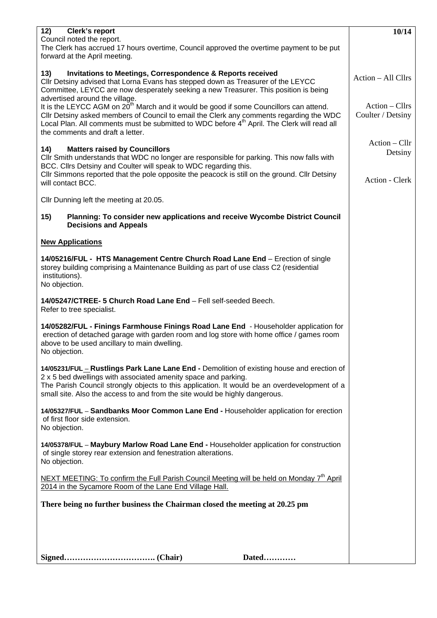| 12)<br><b>Clerk's report</b>                                                                                                                                                | 10/14              |
|-----------------------------------------------------------------------------------------------------------------------------------------------------------------------------|--------------------|
| Council noted the report.<br>The Clerk has accrued 17 hours overtime, Council approved the overtime payment to be put                                                       |                    |
| forward at the April meeting.                                                                                                                                               |                    |
|                                                                                                                                                                             |                    |
| 13)<br><b>Invitations to Meetings, Correspondence &amp; Reports received</b>                                                                                                | Action - All Cllrs |
| Cllr Detsiny advised that Lorna Evans has stepped down as Treasurer of the LEYCC<br>Committee, LEYCC are now desperately seeking a new Treasurer. This position is being    |                    |
| advertised around the village.                                                                                                                                              |                    |
| It is the LEYCC AGM on 20 <sup>th</sup> March and it would be good if some Councillors can attend.                                                                          | $Action - Clirs$   |
| Cllr Detsiny asked members of Council to email the Clerk any comments regarding the WDC                                                                                     | Coulter / Detsiny  |
| Local Plan. All comments must be submitted to WDC before 4 <sup>th</sup> April. The Clerk will read all<br>the comments and draft a letter.                                 |                    |
|                                                                                                                                                                             | Action – Cllr      |
| <b>Matters raised by Councillors</b><br>14)                                                                                                                                 | Detsiny            |
| CIIr Smith understands that WDC no longer are responsible for parking. This now falls with<br>BCC. Cllrs Detsiny and Coulter will speak to WDC regarding this.              |                    |
| CIIr Simmons reported that the pole opposite the peacock is still on the ground. CIIr Detsiny                                                                               |                    |
| will contact BCC.                                                                                                                                                           | Action - Clerk     |
|                                                                                                                                                                             |                    |
| Cllr Dunning left the meeting at 20.05.                                                                                                                                     |                    |
| 15)<br>Planning: To consider new applications and receive Wycombe District Council                                                                                          |                    |
| <b>Decisions and Appeals</b>                                                                                                                                                |                    |
| <b>New Applications</b>                                                                                                                                                     |                    |
|                                                                                                                                                                             |                    |
| 14/05216/FUL - HTS Management Centre Church Road Lane End - Erection of single                                                                                              |                    |
| storey building comprising a Maintenance Building as part of use class C2 (residential<br>institutions).                                                                    |                    |
| No objection.                                                                                                                                                               |                    |
|                                                                                                                                                                             |                    |
| 14/05247/CTREE- 5 Church Road Lane End - Fell self-seeded Beech.                                                                                                            |                    |
| Refer to tree specialist.                                                                                                                                                   |                    |
| 14/05282/FUL - Finings Farmhouse Finings Road Lane End - Householder application for                                                                                        |                    |
| erection of detached garage with garden room and log store with home office / games room                                                                                    |                    |
| above to be used ancillary to main dwelling.<br>No objection.                                                                                                               |                    |
|                                                                                                                                                                             |                    |
| 14/05231/FUL _ Rustlings Park Lane Lane End - Demolition of existing house and erection of                                                                                  |                    |
| 2 x 5 bed dwellings with associated amenity space and parking.                                                                                                              |                    |
| The Parish Council strongly objects to this application. It would be an overdevelopment of a<br>small site. Also the access to and from the site would be highly dangerous. |                    |
|                                                                                                                                                                             |                    |
| 14/05327/FUL - Sandbanks Moor Common Lane End - Householder application for erection                                                                                        |                    |
| of first floor side extension.<br>No objection.                                                                                                                             |                    |
|                                                                                                                                                                             |                    |
| 14/05378/FUL - Maybury Marlow Road Lane End - Householder application for construction                                                                                      |                    |
| of single storey rear extension and fenestration alterations.<br>No objection.                                                                                              |                    |
|                                                                                                                                                                             |                    |
| NEXT MEETING: To confirm the Full Parish Council Meeting will be held on Monday 7 <sup>th</sup> April                                                                       |                    |
| 2014 in the Sycamore Room of the Lane End Village Hall.                                                                                                                     |                    |
| There being no further business the Chairman closed the meeting at 20.25 pm                                                                                                 |                    |
|                                                                                                                                                                             |                    |
|                                                                                                                                                                             |                    |
|                                                                                                                                                                             |                    |
|                                                                                                                                                                             |                    |
| Dated                                                                                                                                                                       |                    |